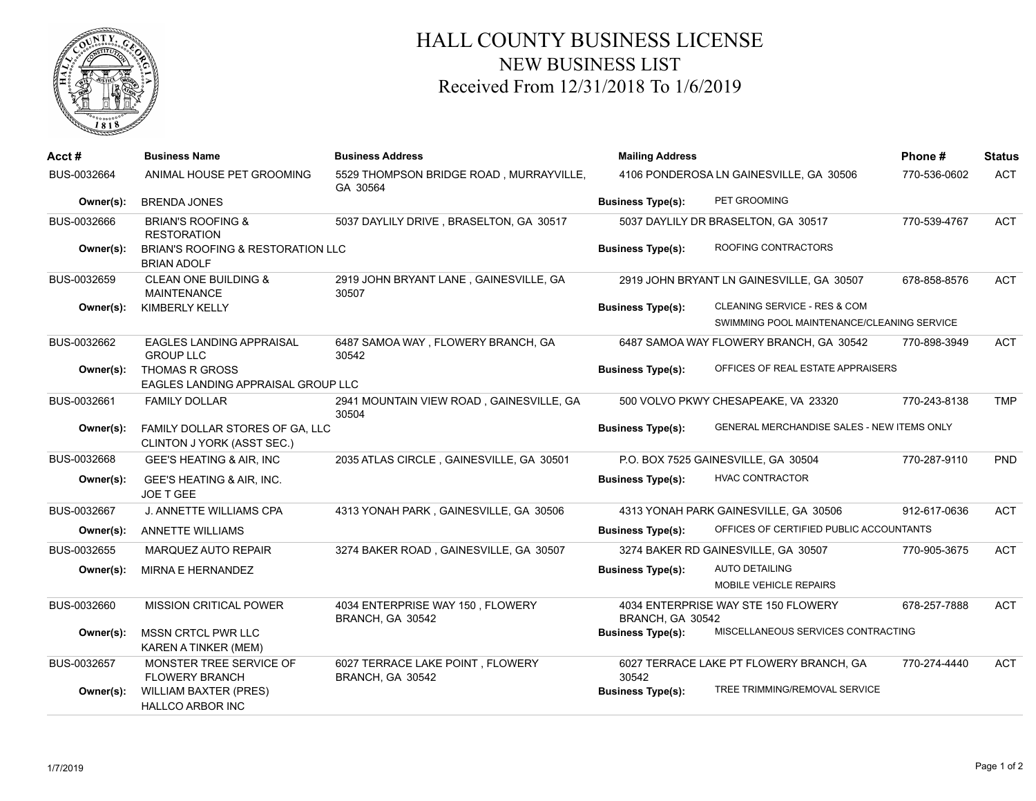

## HALL COUNTY BUSINESS LICENSE NEW BUSINESS LIST Received From 12/31/2018 To 1/6/2019

| Acct#       | <b>Business Name</b>                                          | <b>Business Address</b>                              | <b>Mailing Address</b>                  |                                                   | Phone#       | <b>Status</b> |
|-------------|---------------------------------------------------------------|------------------------------------------------------|-----------------------------------------|---------------------------------------------------|--------------|---------------|
| BUS-0032664 | ANIMAL HOUSE PET GROOMING                                     | 5529 THOMPSON BRIDGE ROAD, MURRAYVILLE,<br>GA 30564  | 4106 PONDEROSA LN GAINESVILLE, GA 30506 |                                                   | 770-536-0602 | <b>ACT</b>    |
| Owner(s):   | <b>BRENDA JONES</b>                                           |                                                      | <b>Business Type(s):</b>                | PET GROOMING                                      |              |               |
| BUS-0032666 | <b>BRIAN'S ROOFING &amp;</b><br><b>RESTORATION</b>            | 5037 DAYLILY DRIVE, BRASELTON, GA 30517              |                                         | 5037 DAYLILY DR BRASELTON, GA 30517               | 770-539-4767 | <b>ACT</b>    |
| Owner(s):   | BRIAN'S ROOFING & RESTORATION LLC<br><b>BRIAN ADOLF</b>       |                                                      | <b>Business Type(s):</b>                | ROOFING CONTRACTORS                               |              |               |
| BUS-0032659 | <b>CLEAN ONE BUILDING &amp;</b><br><b>MAINTENANCE</b>         | 2919 JOHN BRYANT LANE, GAINESVILLE, GA<br>30507      |                                         | 2919 JOHN BRYANT LN GAINESVILLE, GA 30507         | 678-858-8576 | <b>ACT</b>    |
| Owner(s):   | <b>KIMBERLY KELLY</b>                                         |                                                      | <b>Business Type(s):</b>                | CLEANING SERVICE - RES & COM                      |              |               |
|             |                                                               |                                                      |                                         | SWIMMING POOL MAINTENANCE/CLEANING SERVICE        |              |               |
| BUS-0032662 | <b>EAGLES LANDING APPRAISAL</b><br><b>GROUP LLC</b>           | 6487 SAMOA WAY, FLOWERY BRANCH, GA<br>30542          |                                         | 6487 SAMOA WAY FLOWERY BRANCH, GA 30542           | 770-898-3949 | <b>ACT</b>    |
| Owner(s):   | <b>THOMAS R GROSS</b><br>EAGLES LANDING APPRAISAL GROUP LLC   |                                                      | <b>Business Type(s):</b>                | OFFICES OF REAL ESTATE APPRAISERS                 |              |               |
| BUS-0032661 | <b>FAMILY DOLLAR</b>                                          | 2941 MOUNTAIN VIEW ROAD, GAINESVILLE, GA<br>30504    |                                         | 500 VOLVO PKWY CHESAPEAKE, VA 23320               | 770-243-8138 | <b>TMP</b>    |
| Owner(s):   | FAMILY DOLLAR STORES OF GA, LLC<br>CLINTON J YORK (ASST SEC.) |                                                      | <b>Business Type(s):</b>                | <b>GENERAL MERCHANDISE SALES - NEW ITEMS ONLY</b> |              |               |
| BUS-0032668 | GEE'S HEATING & AIR, INC                                      | 2035 ATLAS CIRCLE, GAINESVILLE, GA 30501             |                                         | P.O. BOX 7525 GAINESVILLE, GA 30504               | 770-287-9110 | <b>PND</b>    |
| Owner(s):   | GEE'S HEATING & AIR, INC.<br>JOE T GEE                        |                                                      | <b>Business Type(s):</b>                | <b>HVAC CONTRACTOR</b>                            |              |               |
| BUS-0032667 | J. ANNETTE WILLIAMS CPA                                       | 4313 YONAH PARK, GAINESVILLE, GA 30506               |                                         | 4313 YONAH PARK GAINESVILLE, GA 30506             | 912-617-0636 | <b>ACT</b>    |
| Owner(s):   | <b>ANNETTE WILLIAMS</b>                                       |                                                      | <b>Business Type(s):</b>                | OFFICES OF CERTIFIED PUBLIC ACCOUNTANTS           |              |               |
| BUS-0032655 | MARQUEZ AUTO REPAIR                                           | 3274 BAKER ROAD, GAINESVILLE, GA 30507               |                                         | 3274 BAKER RD GAINESVILLE, GA 30507               | 770-905-3675 | <b>ACT</b>    |
| Owner(s):   | MIRNA E HERNANDEZ                                             |                                                      | <b>Business Type(s):</b>                | <b>AUTO DETAILING</b>                             |              |               |
|             |                                                               |                                                      |                                         | MOBILE VEHICLE REPAIRS                            |              |               |
| BUS-0032660 | <b>MISSION CRITICAL POWER</b>                                 | 4034 ENTERPRISE WAY 150, FLOWERY<br>BRANCH, GA 30542 | BRANCH, GA 30542                        | 4034 ENTERPRISE WAY STE 150 FLOWERY               | 678-257-7888 | <b>ACT</b>    |
| Owner(s):   | <b>MSSN CRTCL PWR LLC</b><br><b>KAREN A TINKER (MEM)</b>      |                                                      | <b>Business Type(s):</b>                | MISCELLANEOUS SERVICES CONTRACTING                |              |               |
| BUS-0032657 | MONSTER TREE SERVICE OF<br><b>FLOWERY BRANCH</b>              | 6027 TERRACE LAKE POINT, FLOWERY<br>BRANCH, GA 30542 | 30542                                   | 6027 TERRACE LAKE PT FLOWERY BRANCH, GA           | 770-274-4440 | <b>ACT</b>    |
| Owner(s):   | <b>WILLIAM BAXTER (PRES)</b><br><b>HALLCO ARBOR INC</b>       |                                                      | <b>Business Type(s):</b>                | TREE TRIMMING/REMOVAL SERVICE                     |              |               |